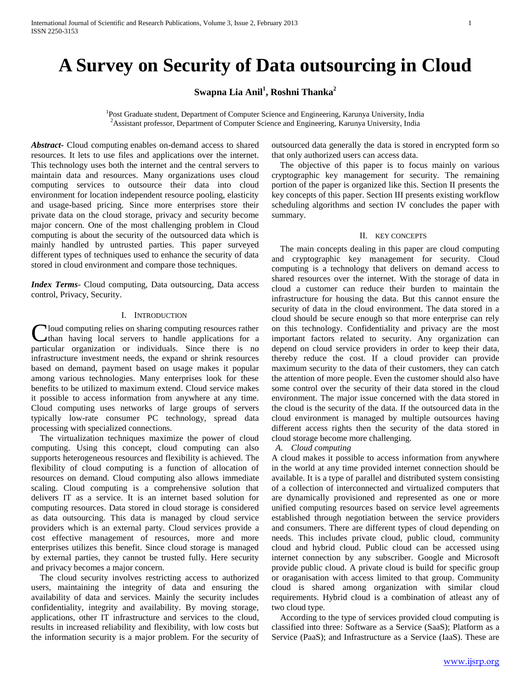# **A Survey on Security of Data outsourcing in Cloud**

**Swapna Lia Anil<sup>1</sup> , Roshni Thanka<sup>2</sup>**

<sup>1</sup>Post Graduate student, Department of Computer Science and Engineering, Karunya University, India <sup>2</sup>Assistant professor, Department of Computer Science and Engineering, Karunya University, India

*Abstract***-** Cloud computing enables on-demand access to shared resources. It lets to use files and applications over the internet. This technology uses both the internet and the central servers to maintain data and resources. Many organizations uses cloud computing services to outsource their data into cloud environment for location independent resource pooling, elasticity and usage-based pricing. Since more enterprises store their private data on the cloud storage, privacy and security become major concern. One of the most challenging problem in Cloud computing is about the security of the outsourced data which is mainly handled by untrusted parties. This paper surveyed different types of techniques used to enhance the security of data stored in cloud environment and compare those techniques.

*Index Terms*- Cloud computing, Data outsourcing, Data access control, Privacy, Security.

### I. INTRODUCTION

Cloud computing relies on sharing computing resources rather<br>than having local servers to handle applications for a than having local servers to handle applications for a particular organization or individuals. Since there is no infrastructure investment needs, the expand or shrink resources based on demand, payment based on usage makes it popular among various technologies. Many enterprises look for these benefits to be utilized to maximum extend. Cloud service makes it possible to access information from anywhere at any time. Cloud computing uses networks of large groups of servers typically low-rate consumer PC technology, spread data processing with specialized connections.

 The virtualization techniques maximize the power of cloud computing. Using this concept, cloud computing can also supports heterogeneous resources and flexibility is achieved. The flexibility of cloud computing is a function of allocation of resources on demand. Cloud computing also allows immediate scaling. Cloud computing is a comprehensive solution that delivers IT as a service. It is an internet based solution for computing resources. Data stored in cloud storage is considered as data outsourcing. This data is managed by cloud service providers which is an external party. Cloud services provide a cost effective management of resources, more and more enterprises utilizes this benefit. Since cloud storage is managed by external parties, they cannot be trusted fully. Here security and privacy becomes a major concern.

 The cloud security involves restricting access to authorized users, maintaining the integrity of data and ensuring the availability of data and services. Mainly the security includes confidentiality, integrity and availability. By moving storage, applications, other IT infrastructure and services to the cloud, results in increased reliability and flexibility, with low costs but the information security is a major problem. For the security of outsourced data generally the data is stored in encrypted form so that only authorized users can access data.

 The objective of this paper is to focus mainly on various cryptographic key management for security. The remaining portion of the paper is organized like this. Section II presents the key concepts of this paper. Section III presents existing workflow scheduling algorithms and section IV concludes the paper with summary.

### II. KEY CONCEPTS

 The main concepts dealing in this paper are cloud computing and cryptographic key management for security. Cloud computing is a technology that delivers on demand access to shared resources over the internet. With the storage of data in cloud a customer can reduce their burden to maintain the infrastructure for housing the data. But this cannot ensure the security of data in the cloud environment. The data stored in a cloud should be secure enough so that more enterprise can rely on this technology. Confidentiality and privacy are the most important factors related to security. Any organization can depend on cloud service providers in order to keep their data, thereby reduce the cost. If a cloud provider can provide maximum security to the data of their customers, they can catch the attention of more people. Even the customer should also have some control over the security of their data stored in the cloud environment. The major issue concerned with the data stored in the cloud is the security of the data. If the outsourced data in the cloud environment is managed by multiple outsources having different access rights then the security of the data stored in cloud storage become more challenging.

*A. Cloud computing*

A cloud makes it possible to access information from anywhere in the world at any time provided internet connection should be available. It is a type of parallel and distributed system consisting of a collection of interconnected and virtualized computers that are dynamically provisioned and represented as one or more unified computing resources based on service level agreements established through negotiation between the service providers and consumers. There are different types of cloud depending on needs. This includes private cloud, public cloud, community cloud and hybrid cloud. Public cloud can be accessed using internet connection by any subscriber. Google and Microsoft provide public cloud. A private cloud is build for specific group or oraganisation with access limited to that group. Community cloud is shared among organization with similar cloud requirements. Hybrid cloud is a combination of atleast any of two cloud type.

 According to the type of services provided cloud computing is classified into three: Software as a Service (SaaS); Platform as a Service (PaaS); and Infrastructure as a Service (IaaS). These are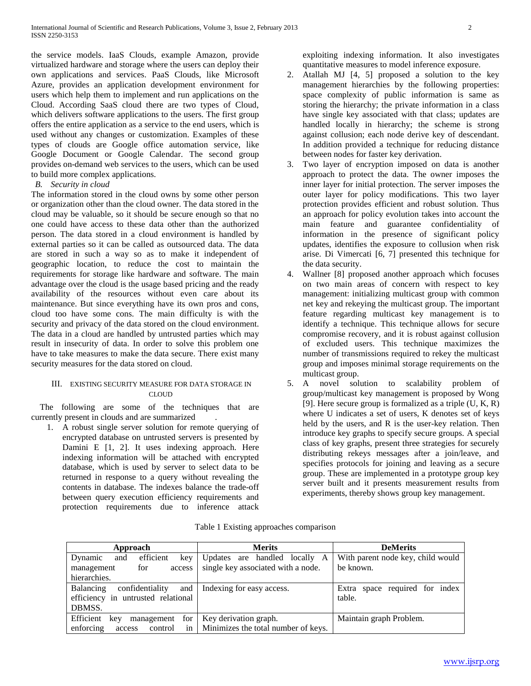the service models. IaaS Clouds, example Amazon, provide virtualized hardware and storage where the users can deploy their own applications and services. PaaS Clouds, like Microsoft Azure, provides an application development environment for users which help them to implement and run applications on the Cloud. According SaaS cloud there are two types of Cloud, which delivers software applications to the users. The first group offers the entire application as a service to the end users, which is used without any changes or customization. Examples of these types of clouds are Google office automation service, like Google Document or Google Calendar. The second group provides on-demand web services to the users, which can be used to build more complex applications.

# *B. Security in cloud*

The information stored in the cloud owns by some other person or organization other than the cloud owner. The data stored in the cloud may be valuable, so it should be secure enough so that no one could have access to these data other than the authorized person. The data stored in a cloud environment is handled by external parties so it can be called as outsourced data. The data are stored in such a way so as to make it independent of geographic location, to reduce the cost to maintain the requirements for storage like hardware and software. The main advantage over the cloud is the usage based pricing and the ready availability of the resources without even care about its maintenance. But since everything have its own pros and cons, cloud too have some cons. The main difficulty is with the security and privacy of the data stored on the cloud environment. The data in a cloud are handled by untrusted parties which may result in insecurity of data. In order to solve this problem one have to take measures to make the data secure. There exist many security measures for the data stored on cloud.

# III. EXISTING SECURITY MEASURE FOR DATA STORAGE IN CLOUD.

 The following are some of the techniques that are currently present in clouds and are summarized .

1. A robust single server solution for remote querying of encrypted database on untrusted servers is presented by Damini E [1, 2]. It uses indexing approach. Here indexing information will be attached with encrypted database, which is used by server to select data to be returned in response to a query without revealing the contents in database. The indexes balance the trade-off between query execution efficiency requirements and protection requirements due to inference attack exploiting indexing information. It also investigates quantitative measures to model inference exposure.

- 2. Atallah MJ [4, 5] proposed a solution to the key management hierarchies by the following properties: space complexity of public information is same as storing the hierarchy; the private information in a class have single key associated with that class; updates are handled locally in hierarchy; the scheme is strong against collusion; each node derive key of descendant. In addition provided a technique for reducing distance between nodes for faster key derivation.
- 3. Two layer of encryption imposed on data is another approach to protect the data. The owner imposes the inner layer for initial protection. The server imposes the outer layer for policy modifications. This two layer protection provides efficient and robust solution. Thus an approach for policy evolution takes into account the main feature and guarantee confidentiality of information in the presence of significant policy updates, identifies the exposure to collusion when risk arise. Di Vimercati [6, 7] presented this technique for the data security.
- 4. Wallner [8] proposed another approach which focuses on two main areas of concern with respect to key management: initializing multicast group with common net key and rekeying the multicast group. The important feature regarding multicast key management is to identify a technique. This technique allows for secure compromise recovery, and it is robust against collusion of excluded users. This technique maximizes the number of transmissions required to rekey the multicast group and imposes minimal storage requirements on the multicast group.
- 5. A novel solution to scalability problem of group/multicast key management is proposed by Wong [9]. Here secure group is formalized as a triple (U, K, R) where U indicates a set of users, K denotes set of keys held by the users, and R is the user-key relation. Then introduce key graphs to specify secure groups. A special class of key graphs, present three strategies for securely distributing rekeys messages after a join/leave, and specifies protocols for joining and leaving as a secure group. These are implemented in a prototype group key server built and it presents measurement results from experiments, thereby shows group key management.

| Approach                            | <b>Merits</b>                            | <b>DeMerits</b>                   |
|-------------------------------------|------------------------------------------|-----------------------------------|
| efficient<br>Dynamic<br>and<br>key  | Updates are handled locally A            | With parent node key, child would |
| management<br>for<br>access         | single key associated with a node.       | be known.                         |
| hierarchies.                        |                                          |                                   |
| confidentiality<br>and<br>Balancing | Indexing for easy access.                | Extra space required for index    |
| efficiency in untrusted relational  |                                          | table.                            |
| DBMSS.                              |                                          |                                   |
| Efficient<br>management for<br>kev  | Key derivation graph.                    | Maintain graph Problem.           |
| enforcing<br>control<br>access      | in   Minimizes the total number of keys. |                                   |

Table 1 Existing approaches comparison